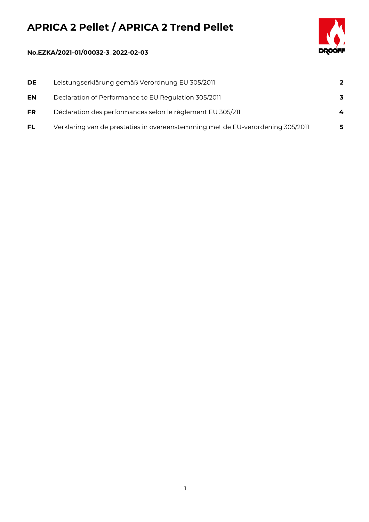## **APRICA 2 Pellet / APRICA 2 Trend Pellet**



## **No.EZKA/2021-01/00032-3\_2022-02-03**

| <b>DE</b> | Leistungserklärung gemäß Verordnung EU 305/2011                                | $\overline{2}$ |
|-----------|--------------------------------------------------------------------------------|----------------|
| EN        | Declaration of Performance to EU Regulation 305/2011                           | 3              |
| <b>FR</b> | Déclaration des performances selon le règlement EU 305/211                     | 4              |
| <b>FL</b> | Verklaring van de prestaties in overeenstemming met de EU-verordening 305/2011 | 5              |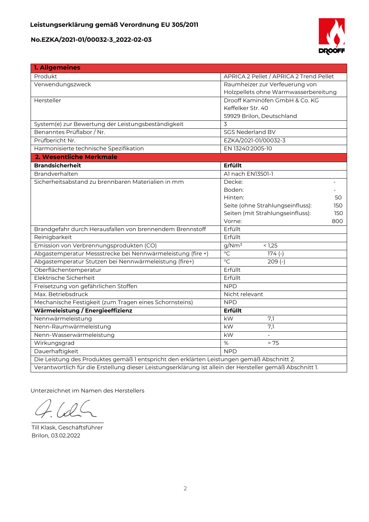

| 1. Allgemeines                                                                                           |                                         |  |  |
|----------------------------------------------------------------------------------------------------------|-----------------------------------------|--|--|
| Produkt                                                                                                  | APRICA 2 Pellet / APRICA 2 Trend Pellet |  |  |
| Verwendungszweck                                                                                         | Raumheizer zur Verfeuerung von          |  |  |
|                                                                                                          | Holzpellets ohne Warmwasserbereitung    |  |  |
| Hersteller                                                                                               | Drooff Kaminöfen GmbH & Co. KG          |  |  |
|                                                                                                          | Keffelker Str. 40                       |  |  |
|                                                                                                          | 59929 Brilon, Deutschland               |  |  |
| System(e) zur Bewertung der Leistungsbeständigkeit                                                       | 3                                       |  |  |
| Benanntes Prüflabor / Nr.                                                                                | <b>SGS Nederland BV</b>                 |  |  |
| Prüfbericht Nr.                                                                                          | EZKA/2021-01/00032-3                    |  |  |
| Harmonisierte technische Spezifikation                                                                   | EN 13240:2005-10                        |  |  |
| 2. Wesentliche Merkmale                                                                                  |                                         |  |  |
| <b>Brandsicherheit</b>                                                                                   | Erfüllt                                 |  |  |
| Brandverhalten                                                                                           | Al nach EN13501-1                       |  |  |
| Sicherheitsabstand zu brennbaren Materialien in mm                                                       | Decke:                                  |  |  |
|                                                                                                          | Boden:                                  |  |  |
|                                                                                                          | Hinten:<br>50                           |  |  |
|                                                                                                          | Seite (ohne Strahlungseinfluss):<br>150 |  |  |
|                                                                                                          | Seiten (mit Strahlungseinfluss):<br>150 |  |  |
|                                                                                                          | Vorne:<br>800                           |  |  |
| Brandgefahr durch Herausfallen von brennendem Brennstoff                                                 | Erfüllt                                 |  |  |
| Reinigbarkeit                                                                                            | Erfüllt                                 |  |  |
| Emission von Verbrennungsprodukten (CO)                                                                  | g/Nm <sup>3</sup><br>< 1,25             |  |  |
| Abgastemperatur Messstrecke bei Nennwärmeleistung (fire +)                                               | $\overline{C}$<br>$174(-)$              |  |  |
| Abgastemperatur Stutzen bei Nennwärmeleistung (fire+)                                                    | $\overline{C}$<br>$209(-)$              |  |  |
| Oberflächentemperatur                                                                                    | Erfüllt                                 |  |  |
| Elektrische Sicherheit                                                                                   | Erfüllt                                 |  |  |
| Freisetzung von gefährlichen Stoffen                                                                     | <b>NPD</b>                              |  |  |
| Max. Betriebsdruck                                                                                       | Nicht relevant                          |  |  |
| Mechanische Festigkeit (zum Tragen eines Schornsteins)                                                   | <b>NPD</b>                              |  |  |
| Wärmeleistung / Energieeffizienz                                                                         | Erfüllt                                 |  |  |
| Nennwärmeleistung                                                                                        | kW<br>7,1                               |  |  |
| Nenn-Raumwärmeleistung                                                                                   | 7,1<br>kW                               |  |  |
| Nenn-Wasserwärmeleistung                                                                                 | kW                                      |  |  |
| Wirkungsgrad                                                                                             | %<br>> 75                               |  |  |
| Dauerhaftigkeit                                                                                          | <b>NPD</b>                              |  |  |
| Die Leistung des Produktes gemäß 1 entspricht den erklärten Leistungen gemäß Abschnitt 2.                |                                         |  |  |
| Verantwortlich für die Erstellung dieser Leistungserklärung ist allein der Hersteller gemäß Abschnitt 1. |                                         |  |  |

Unterzeichnet im Namen des Herstellers

 $\overline{\phantom{a}}$ 

Till Klask, Geschäftsführer Brilon, 03.02.2022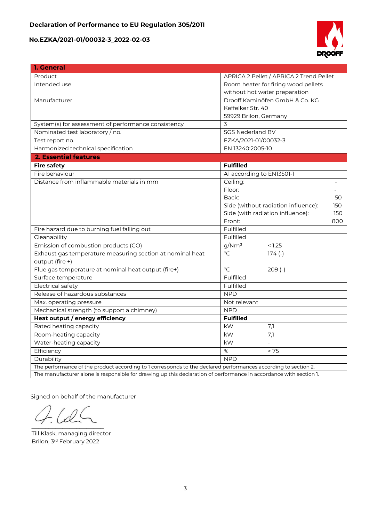

| 1. General                                                                                                         |                                            |  |  |  |
|--------------------------------------------------------------------------------------------------------------------|--------------------------------------------|--|--|--|
| Product                                                                                                            | APRICA 2 Pellet / APRICA 2 Trend Pellet    |  |  |  |
| Intended use                                                                                                       | Room heater for firing wood pellets        |  |  |  |
|                                                                                                                    | without hot water preparation              |  |  |  |
| Manufacturer                                                                                                       | Drooff Kaminöfen GmbH & Co. KG             |  |  |  |
|                                                                                                                    | Keffelker Str. 40                          |  |  |  |
|                                                                                                                    | 59929 Brilon, Germany                      |  |  |  |
| System(s) for assessment of performance consistency                                                                | 3                                          |  |  |  |
| Nominated test laboratory / no.                                                                                    | <b>SGS Nederland BV</b>                    |  |  |  |
| Test report no.                                                                                                    | EZKA/2021-01/00032-3                       |  |  |  |
| Harmonized technical specification                                                                                 | EN 13240:2005-10                           |  |  |  |
| 2. Essential features                                                                                              |                                            |  |  |  |
| <b>Fire safety</b>                                                                                                 | <b>Fulfilled</b>                           |  |  |  |
| Fire behaviour                                                                                                     | Al according to EN13501-1                  |  |  |  |
| Distance from inflammable materials in mm                                                                          | Ceiling:                                   |  |  |  |
|                                                                                                                    | Floor:                                     |  |  |  |
|                                                                                                                    | Back:<br>50                                |  |  |  |
|                                                                                                                    | Side (without radiation influence):<br>150 |  |  |  |
|                                                                                                                    | Side (with radiation influence):<br>150    |  |  |  |
|                                                                                                                    | Front:<br>800                              |  |  |  |
| Fire hazard due to burning fuel falling out                                                                        | Fulfilled                                  |  |  |  |
| Cleanability                                                                                                       | Fulfilled                                  |  |  |  |
| Emission of combustion products (CO)                                                                               | g/Nm <sup>3</sup><br>< 1,25                |  |  |  |
| Exhaust gas temperature measuring section at nominal heat                                                          | $\overline{C}$<br>$174(-)$                 |  |  |  |
| output (fire +)                                                                                                    |                                            |  |  |  |
| Flue gas temperature at nominal heat output (fire+)                                                                | $\overline{C}$<br>$209(-)$                 |  |  |  |
| Surface temperature                                                                                                | Fulfilled                                  |  |  |  |
| Electrical safety                                                                                                  | Fulfilled                                  |  |  |  |
| Release of hazardous substances                                                                                    | <b>NPD</b>                                 |  |  |  |
| Max. operating pressure                                                                                            | Not relevant                               |  |  |  |
| Mechanical strength (to support a chimney)                                                                         | <b>NPD</b>                                 |  |  |  |
| Heat output / energy efficiency                                                                                    | <b>Fulfilled</b>                           |  |  |  |
| Rated heating capacity                                                                                             | kW<br>7,1                                  |  |  |  |
| Room-heating capacity                                                                                              | kW<br>7,1                                  |  |  |  |
| Water-heating capacity                                                                                             | kW                                         |  |  |  |
| Efficiency                                                                                                         | %<br>> 75                                  |  |  |  |
| Durability                                                                                                         | <b>NPD</b>                                 |  |  |  |
| The performance of the product according to 1 corresponds to the declared performances according to section 2.     |                                            |  |  |  |
| The manufacturer alone is responsible for drawing up this declaration of performance in accordance with section 1. |                                            |  |  |  |

Signed on behalf of the manufacturer

 $10C$  $\mathcal{L}$  and  $\mathcal{L}$  and  $\mathcal{L}$ 

Till Klask, managing director Brilon, 3 rd February 2022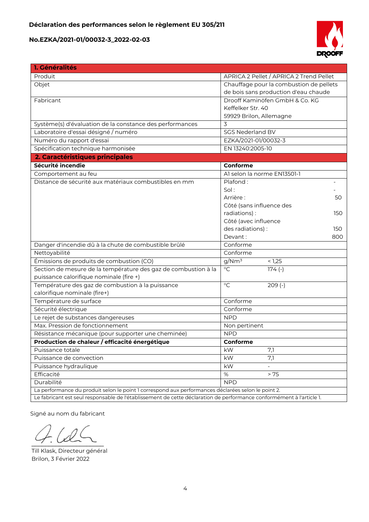

| 1. Généralités                                                                                                       |                                         |
|----------------------------------------------------------------------------------------------------------------------|-----------------------------------------|
| Produit                                                                                                              | APRICA 2 Pellet / APRICA 2 Trend Pellet |
| Objet                                                                                                                | Chauffage pour la combustion de pellets |
|                                                                                                                      | de bois sans production d'eau chaude    |
| Fabricant                                                                                                            | Drooff Kaminöfen GmbH & Co. KG          |
|                                                                                                                      | Keffelker Str. 40                       |
|                                                                                                                      | 59929 Brilon, Allemagne                 |
| Système(s) d'évaluation de la constance des performances                                                             | 3                                       |
| Laboratoire d'essai désigné / numéro                                                                                 | <b>SGS Nederland BV</b>                 |
| Numéro du rapport d'essai                                                                                            | EZKA/2021-01/00032-3                    |
| Spécification technique harmonisée                                                                                   | EN 13240:2005-10                        |
| 2. Caractéristiques principales                                                                                      |                                         |
| Sécurité incendie                                                                                                    | Conforme                                |
| Comportement au feu                                                                                                  | Al selon la norme EN13501-1             |
| Distance de sécurité aux matériaux combustibles en mm                                                                | Plafond:                                |
|                                                                                                                      | Sol:                                    |
|                                                                                                                      | Arrière:<br>50                          |
|                                                                                                                      | Côté (sans influence des                |
|                                                                                                                      | radiations):<br>150                     |
|                                                                                                                      | Côté (avec influence                    |
|                                                                                                                      | des radiations) :<br>150                |
|                                                                                                                      | Devant:<br>800                          |
| Danger d'incendie dû à la chute de combustible brûlé                                                                 | Conforme                                |
| Nettoyabilité                                                                                                        | Conforme                                |
| Émissions de produits de combustion (CO)                                                                             | $g/\overline{Nm^3}$<br>< 1,25           |
| Section de mesure de la température des gaz de combustion à la                                                       | $\overline{C}$<br>$174(-)$              |
| puissance calorifique nominale (fire +)                                                                              |                                         |
| Température des gaz de combustion à la puissance                                                                     | $\overline{C}$<br>$\overline{209}$ (-)  |
| calorifique nominale (fire+)                                                                                         |                                         |
| Température de surface                                                                                               | Conforme                                |
| Sécurité électrique                                                                                                  | Conforme                                |
| Le rejet de substances dangereuses                                                                                   | <b>NPD</b>                              |
| Max. Pression de fonctionnement                                                                                      | Non pertinent                           |
| Résistance mécanique (pour supporter une cheminée)                                                                   | <b>NPD</b>                              |
| Production de chaleur / efficacité énergétique                                                                       | Conforme                                |
| Puissance totale                                                                                                     | 7,1<br>kW.                              |
| Puissance de convection                                                                                              | 7,1<br>kW                               |
| Puissance hydraulique                                                                                                | kW<br>$\overline{\phantom{a}}$          |
| Efficacité                                                                                                           | $\%$<br>> 75                            |
| Durabilité                                                                                                           | <b>NPD</b>                              |
| La performance du produit selon le point 1 correspond aux performances déclarées selon le point 2.                   |                                         |
| Le fabricant est seul responsable de l'établissement de cette déclaration de performance conformément à l'article 1. |                                         |

Signé au nom du fabricant

 $\frac{1}{2}$ 

Till Klask, Directeur général Brilon, 3 Février 2022